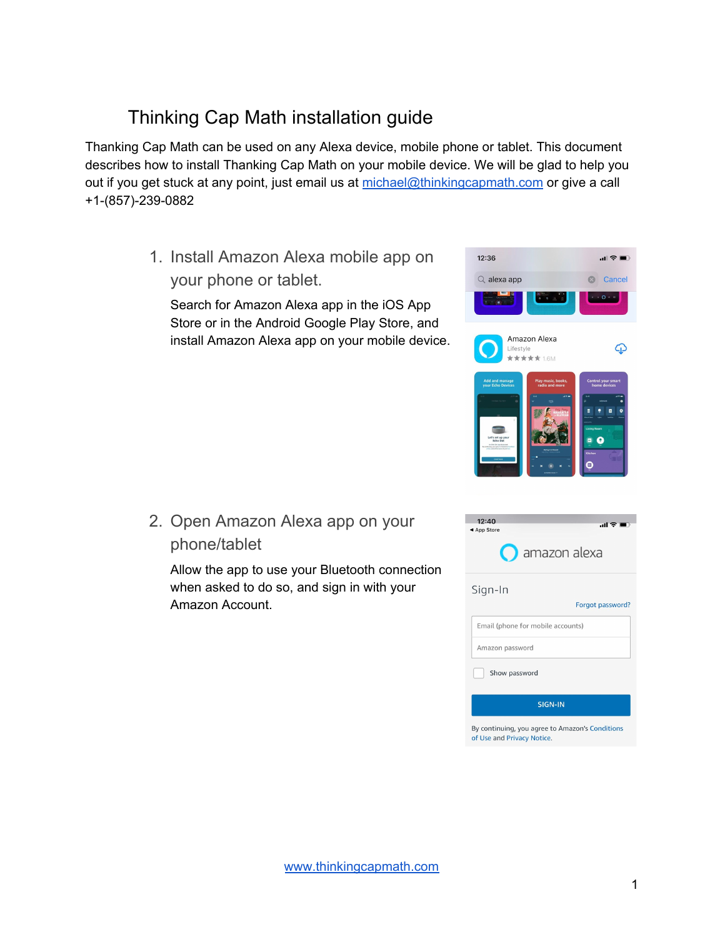## Thinking Cap Math installation guide

Thanking Cap Math can be used on any Alexa device, mobile phone or tablet. This document describes how to install Thanking Cap Math on your mobile device. We will be glad to help you out if you get stuck at any point, just email us at [michael@thinkingcapmath.com](mailto:michael@thinkingcapmath.com) or give a call +1-(857)-239-0882

> 1. Install Amazon Alexa mobile app on your phone or tablet.

Search for Amazon Alexa app in the iOS App Store or in the Android Google Play Store, and install Amazon Alexa app on your mobile device.



2. Open Amazon Alexa app on your phone/tablet

Allow the app to use your Bluetooth connection when asked to do so, and sign in with your Amazon Account.

| 12:40<br>◀ App Store<br>$\bigcap$ amazon alexa                                |
|-------------------------------------------------------------------------------|
| Sign-In                                                                       |
| Forgot password?                                                              |
| Email (phone for mobile accounts)                                             |
| Amazon password                                                               |
| Show password                                                                 |
| <b>SIGN-IN</b>                                                                |
| By continuing, you agree to Amazon's Conditions<br>of Use and Privacy Notice. |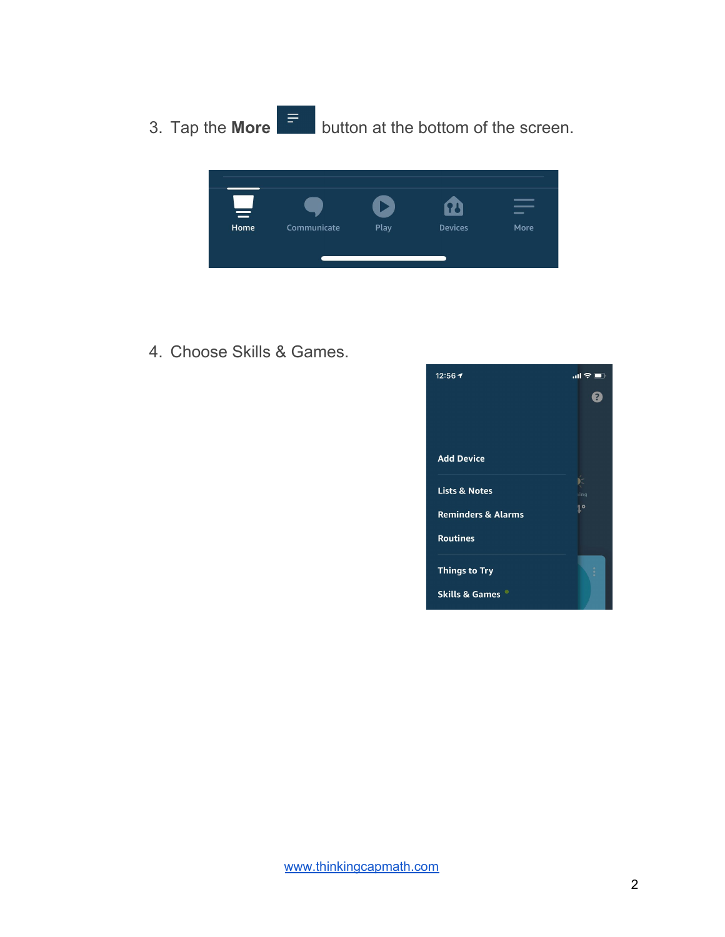3. Tap the **More** button at the bottom of the screen.



4. Choose Skills & Games.

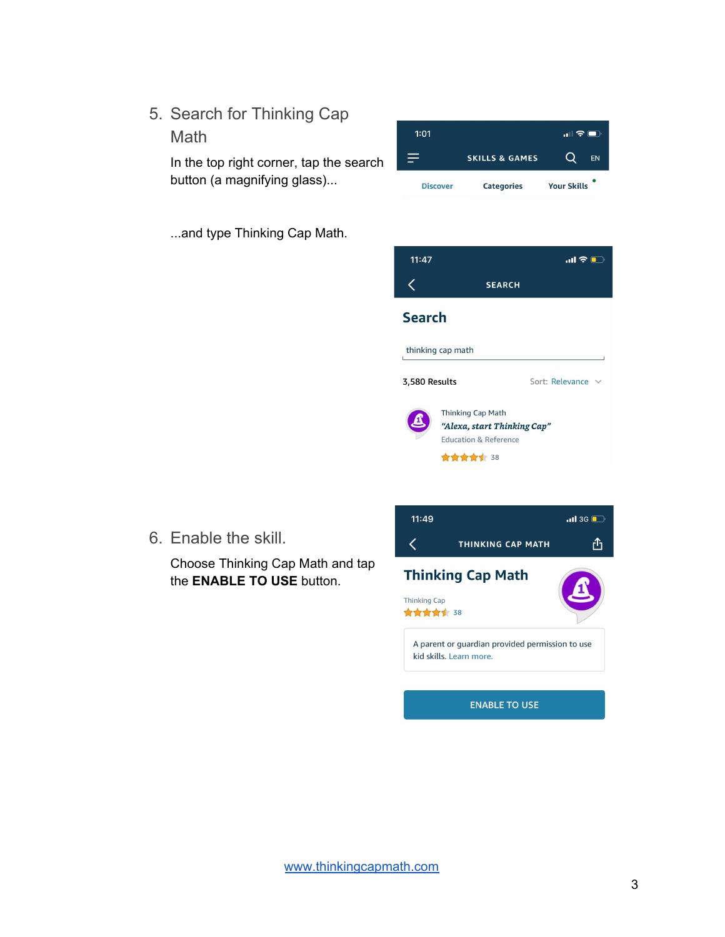5. Search for Thinking Cap Math

> In the top right corner, tap the search button (a magnifying glass)...



...and type Thinking Cap Math.



6. Enable the skill.

Choose Thinking Cap Math and tap the **ENABLE TO USE** button.